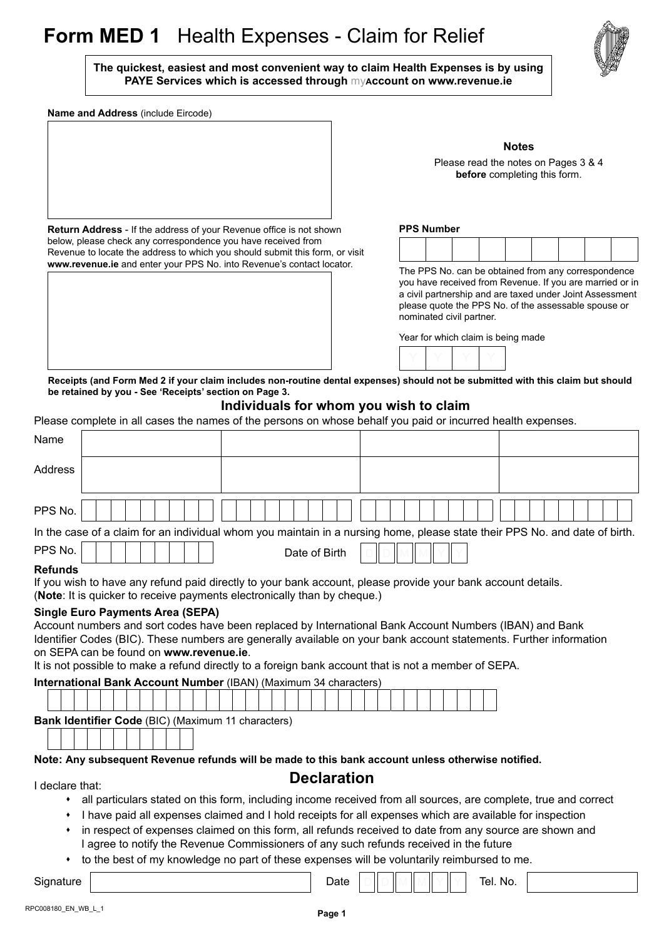# **Form MED 1** Health Expenses - Claim for Relief

**The quickest, easiest and most convenient way to claim Health Expenses is by using PAYE Services which is accessed through** my**account on [www.revenue.ie](http://www.revenue.ie/en/index.html)**

**Name and Address** (include Eircode)

**Return Address** - If the address of your Revenue office is not shown below, please check any correspondence you have received from

Revenue to locate the address to which you should submit this form, or visit **[www.revenue.ie](http://www.revenue.ie/en/index.html)** and enter your PPS No. into Revenue's contact locator.



**Notes** Please read the notes on Pages 3 & 4 **before** completing this form.

### **PPS Number**

| - - - - - - - - - - - -<br>___ |  |  |  |  |  |  |  |
|--------------------------------|--|--|--|--|--|--|--|
|                                |  |  |  |  |  |  |  |
|                                |  |  |  |  |  |  |  |
|                                |  |  |  |  |  |  |  |
|                                |  |  |  |  |  |  |  |

The PPS No. can be obtained from any correspondence you have received from Revenue. If you are married or in a civil partnership and are taxed under Joint Assessment please quote the PPS No. of the assessable spouse or nominated civil partner.

Year for which claim is being made



**Receipts (and [Form Med 2](http://www.revenue.ie/en/tax/it/forms/med2.pdf) if your claim includes non-routine dental expenses) should not be submitted with this claim but should be retained by you - See 'Receipts' section on Page 3.**

#### **Individuals for whom you wish to claim**

Please complete in all cases the names of the persons on whose behalf you paid or incurred health expenses.

| Name                                                                                                                                                                                                   |                                                                                                                                                                                                                                                                                                                                                                                                                             |                            |  |  |  |  |
|--------------------------------------------------------------------------------------------------------------------------------------------------------------------------------------------------------|-----------------------------------------------------------------------------------------------------------------------------------------------------------------------------------------------------------------------------------------------------------------------------------------------------------------------------------------------------------------------------------------------------------------------------|----------------------------|--|--|--|--|
| Address                                                                                                                                                                                                |                                                                                                                                                                                                                                                                                                                                                                                                                             |                            |  |  |  |  |
| PPS No.                                                                                                                                                                                                |                                                                                                                                                                                                                                                                                                                                                                                                                             |                            |  |  |  |  |
|                                                                                                                                                                                                        | In the case of a claim for an individual whom you maintain in a nursing home, please state their PPS No. and date of birth.                                                                                                                                                                                                                                                                                                 |                            |  |  |  |  |
| PPS No.                                                                                                                                                                                                | Date of Birth                                                                                                                                                                                                                                                                                                                                                                                                               |                            |  |  |  |  |
| <b>Refunds</b>                                                                                                                                                                                         | If you wish to have any refund paid directly to your bank account, please provide your bank account details.<br>(Note: It is quicker to receive payments electronically than by cheque.)                                                                                                                                                                                                                                    |                            |  |  |  |  |
|                                                                                                                                                                                                        | <b>Single Euro Payments Area (SEPA)</b><br>Account numbers and sort codes have been replaced by International Bank Account Numbers (IBAN) and Bank<br>Identifier Codes (BIC). These numbers are generally available on your bank account statements. Further information<br>on SEPA can be found on www.revenue.ie.<br>It is not possible to make a refund directly to a foreign bank account that is not a member of SEPA. |                            |  |  |  |  |
|                                                                                                                                                                                                        | International Bank Account Number (IBAN) (Maximum 34 characters)                                                                                                                                                                                                                                                                                                                                                            |                            |  |  |  |  |
|                                                                                                                                                                                                        |                                                                                                                                                                                                                                                                                                                                                                                                                             |                            |  |  |  |  |
|                                                                                                                                                                                                        | Bank Identifier Code (BIC) (Maximum 11 characters)                                                                                                                                                                                                                                                                                                                                                                          |                            |  |  |  |  |
|                                                                                                                                                                                                        |                                                                                                                                                                                                                                                                                                                                                                                                                             |                            |  |  |  |  |
|                                                                                                                                                                                                        | Note: Any subsequent Revenue refunds will be made to this bank account unless otherwise notified.                                                                                                                                                                                                                                                                                                                           |                            |  |  |  |  |
| <b>Declaration</b>                                                                                                                                                                                     |                                                                                                                                                                                                                                                                                                                                                                                                                             |                            |  |  |  |  |
| I declare that:                                                                                                                                                                                        |                                                                                                                                                                                                                                                                                                                                                                                                                             |                            |  |  |  |  |
| ٠                                                                                                                                                                                                      | all particulars stated on this form, including income received from all sources, are complete, true and correct                                                                                                                                                                                                                                                                                                             |                            |  |  |  |  |
| ٠                                                                                                                                                                                                      | I have paid all expenses claimed and I hold receipts for all expenses which are available for inspection                                                                                                                                                                                                                                                                                                                    |                            |  |  |  |  |
| in respect of expenses claimed on this form, all refunds received to date from any source are shown and<br>٠<br>I agree to notify the Revenue Commissioners of any such refunds received in the future |                                                                                                                                                                                                                                                                                                                                                                                                                             |                            |  |  |  |  |
| ٠                                                                                                                                                                                                      | to the best of my knowledge no part of these expenses will be voluntarily reimbursed to me.                                                                                                                                                                                                                                                                                                                                 |                            |  |  |  |  |
|                                                                                                                                                                                                        |                                                                                                                                                                                                                                                                                                                                                                                                                             | المسافر المسالمين المستنبذ |  |  |  |  |

Signature Tel. No.

D ate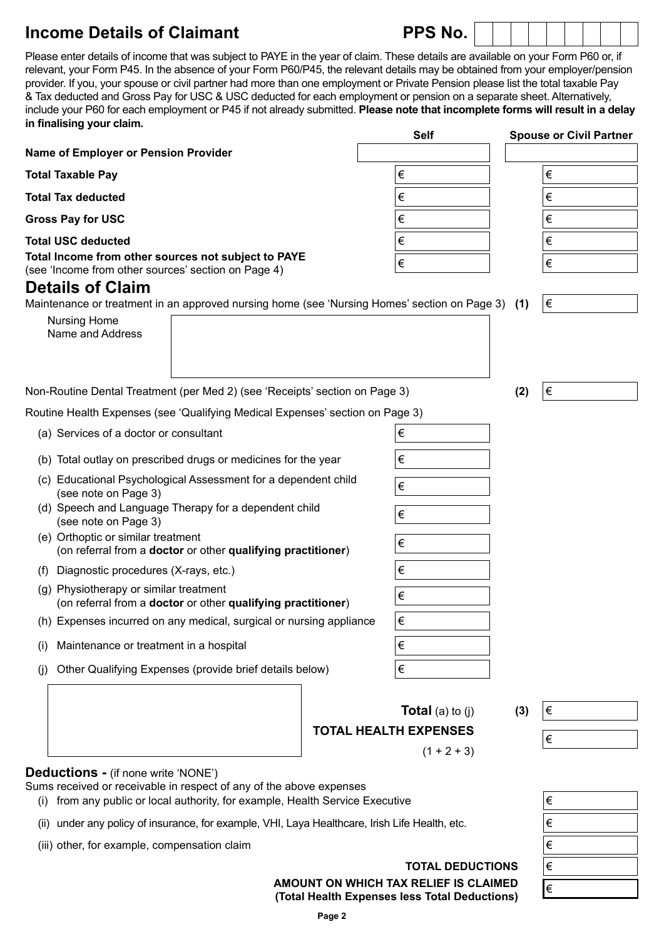## **Income Details of Claimant PPS No.**

| Please enter details of income that was subject to PAYE in the year of claim. These details are available on your Form P60 or, if |
|-----------------------------------------------------------------------------------------------------------------------------------|
| relevant, your Form P45. In the absence of your Form P60/P45, the relevant details may be obtained from your employer/pension     |
| provider. If you, your spouse or civil partner had more than one employment or Private Pension please list the total taxable Pay  |
| & Tax deducted and Gross Pay for USC & USC deducted for each employment or pension on a separate sheet. Alternatively,            |
| include your P60 for each employment or P45 if not already submitted. Please note that incomplete forms will result in a delay    |
| in finalising your claim.                                                                                                         |

|                                                                                                                   |       | <b>Self</b>             |     | <b>Spouse or Civil Partner</b> |
|-------------------------------------------------------------------------------------------------------------------|-------|-------------------------|-----|--------------------------------|
| Name of Employer or Pension Provider                                                                              |       |                         |     |                                |
| <b>Total Taxable Pay</b>                                                                                          |       | $\in$                   |     | €                              |
| <b>Total Tax deducted</b>                                                                                         |       | $\in$                   |     | €                              |
| <b>Gross Pay for USC</b>                                                                                          |       | $\in$                   |     | €                              |
| <b>Total USC deducted</b>                                                                                         |       | $\in$                   |     | $\in$                          |
| Total Income from other sources not subject to PAYE<br>(see 'Income from other sources' section on Page 4)        |       | $\in$                   |     | $\in$                          |
| <b>Details of Claim</b>                                                                                           |       |                         |     |                                |
| Maintenance or treatment in an approved nursing home (see 'Nursing Homes' section on Page 3) (1)                  |       |                         |     | ∣€                             |
| <b>Nursing Home</b><br>Name and Address                                                                           |       |                         |     |                                |
|                                                                                                                   |       |                         |     |                                |
|                                                                                                                   |       |                         |     |                                |
| Non-Routine Dental Treatment (per Med 2) (see 'Receipts' section on Page 3)                                       |       |                         | (2) | $\in$                          |
| Routine Health Expenses (see 'Qualifying Medical Expenses' section on Page 3)                                     |       |                         |     |                                |
| (a) Services of a doctor or consultant                                                                            |       | €                       |     |                                |
| (b) Total outlay on prescribed drugs or medicines for the year                                                    |       | $\in$                   |     |                                |
| (c) Educational Psychological Assessment for a dependent child<br>(see note on Page 3)                            |       | €                       |     |                                |
| (d) Speech and Language Therapy for a dependent child<br>(see note on Page 3)                                     |       | €                       |     |                                |
| (e) Orthoptic or similar treatment<br>(on referral from a doctor or other qualifying practitioner)                | $\in$ |                         |     |                                |
| Diagnostic procedures (X-rays, etc.)<br>(f)                                                                       |       | $\in$                   |     |                                |
| (g) Physiotherapy or similar treatment<br>(on referral from a doctor or other qualifying practitioner)            |       | $\in$                   |     |                                |
| (h) Expenses incurred on any medical, surgical or nursing appliance                                               |       | $\in$                   |     |                                |
| Maintenance or treatment in a hospital<br>(1)                                                                     |       | €                       |     |                                |
| Other Qualifying Expenses (provide brief details below)<br>(i)                                                    |       | €                       |     |                                |
|                                                                                                                   |       |                         |     |                                |
|                                                                                                                   |       | <b>Total</b> (a) to (j) | (3) | $\in$                          |
| <b>TOTAL HEALTH EXPENSES</b>                                                                                      |       |                         | €   |                                |
|                                                                                                                   |       | $(1 + 2 + 3)$           |     |                                |
| <b>Deductions - (if none write 'NONE')</b><br>Sums received or receivable in respect of any of the above expenses |       |                         |     |                                |
| public or local qutbority for overante. Hoolth Convice Evenitive                                                  |       |                         |     |                                |

- (i) from any public or local authority, for example, Health Service Executive
- (ii) under any policy of insurance, for example, VHI, Laya Healthcare, Irish Life Health, etc.
- (iii) other, for example, compensation claim

**TOTAL DEDUCTIONS AMOUNT ON WHICH TAX RELIEF IS CLAIMED (Total Health Expenses less Total Deductions)**

| €     |  |
|-------|--|
| €     |  |
| $\in$ |  |
| €     |  |
| €     |  |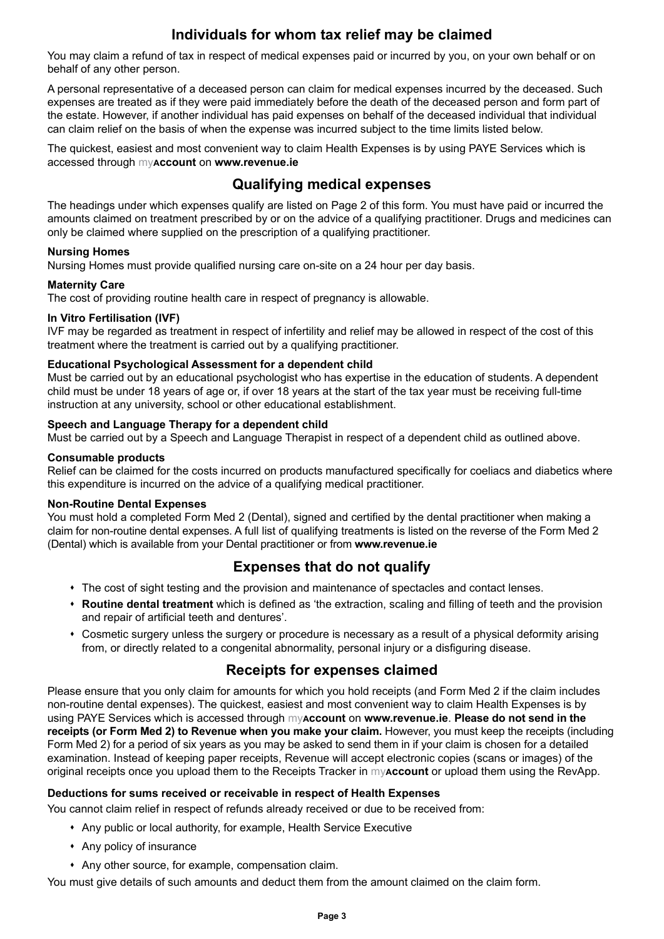### **Individuals for whom tax relief may be claimed**

You may claim a refund of tax in respect of medical expenses paid or incurred by you, on your own behalf or on behalf of any other person.

A personal representative of a deceased person can claim for medical expenses incurred by the deceased. Such expenses are treated as if they were paid immediately before the death of the deceased person and form part of the estate. However, if another individual has paid expenses on behalf of the deceased individual that individual can claim relief on the basis of when the expense was incurred subject to the time limits listed below.

The quickest, easiest and most convenient way to claim Health Expenses is by using PAYE Services which is accessed through my**account** on **[www.revenue.ie](http://www.revenue.ie/en/index.html)**

### **Qualifying medical expenses**

The headings under which expenses qualify are listed on Page 2 of this form. You must have paid or incurred the amounts claimed on treatment prescribed by or on the advice of a qualifying practitioner. Drugs and medicines can only be claimed where supplied on the prescription of a qualifying practitioner.

#### **Nursing Homes**

Nursing Homes must provide qualified nursing care on-site on a 24 hour per day basis.

#### **Maternity Care**

The cost of providing routine health care in respect of pregnancy is allowable.

#### **In Vitro Fertilisation (IVF)**

IVF may be regarded as treatment in respect of infertility and relief may be allowed in respect of the cost of this treatment where the treatment is carried out by a qualifying practitioner.

#### **Educational Psychological Assessment for a dependent child**

Must be carried out by an educational psychologist who has expertise in the education of students. A dependent child must be under 18 years of age or, if over 18 years at the start of the tax year must be receiving full-time instruction at any university, school or other educational establishment.

#### **Speech and Language Therapy for a dependent child**

Must be carried out by a Speech and Language Therapist in respect of a dependent child as outlined above.

#### **Consumable products**

Relief can be claimed for the costs incurred on products manufactured specifically for coeliacs and diabetics where this expenditure is incurred on the advice of a qualifying medical practitioner.

#### **Non-Routine Dental Expenses**

You must hold a completed [Form Med 2 \(](http://www.revenue.ie/en/tax/it/forms/med2.pdf)Dental), signed and certified by the dental practitioner when making a claim for non-routine dental expenses. A full list of qualifying treatments is listed on the reverse of the Form Med 2 (Dental) which is available from your Dental practitioner or from **[www.revenue.ie](http://www.revenue.ie/en/index.html)**

### **Expenses that do not qualify**

- The cost of sight testing and the provision and maintenance of spectacles and contact lenses.
- **Routine dental treatment** which is defined as 'the extraction, scaling and filling of teeth and the provision and repair of artificial teeth and dentures'.
- s Cosmetic surgery unless the surgery or procedure is necessary as a result of a physical deformity arising from, or directly related to a congenital abnormality, personal injury or a disfiguring disease.

### **Receipts for expenses claimed**

Please ensure that you only claim for amounts for which you hold receipts (and [Form Med 2](http://www.revenue.ie/en/tax/it/forms/med2.pdf) if the claim includes non-routine dental expenses). The quickest, easiest and most convenient way to claim Health Expenses is by using PAYE Services which is accessed through my**account** on **[www.revenue.ie](http://www.revenue.ie/en/index.html)**. **Please do not send in the receipts (or Form Med 2) to Revenue when you make your claim.** However, you must keep the receipts (including Form Med 2) for a period of six years as you may be asked to send them in if your claim is chosen for a detailed examination. Instead of keeping paper receipts, Revenue will accept electronic copies (scans or images) of the original receipts once you upload them to the Receipts Tracker in my**account** or upload them using the RevApp.

#### **Deductions for sums received or receivable in respect of Health Expenses**

You cannot claim relief in respect of refunds already received or due to be received from:

- Any public or local authority, for example, Health Service Executive
- Any policy of insurance
- Any other source, for example, compensation claim.

You must give details of such amounts and deduct them from the amount claimed on the claim form.